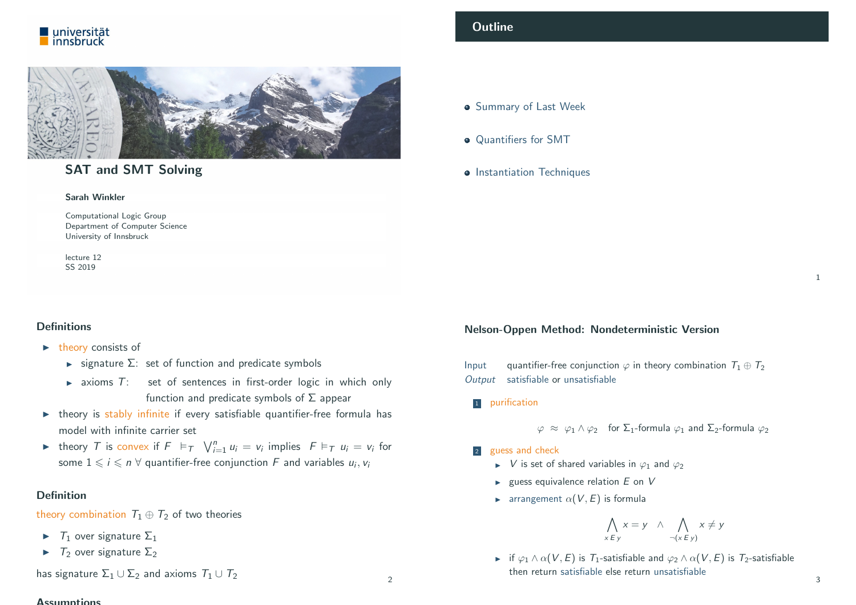



# SAT and SMT Solving

Computational Logic Group Department of Computer Science University of Innsbruck

lecture 12

#### Sarah Winkler

SS 2019

#### <span id="page-0-0"></span>**Definitions**

- $\blacktriangleright$  theory consists of
	- $\triangleright$  signature  $\Sigma$ : set of function and predicate symbols
	- $\triangleright$  axioms  $T$ : set of sentences in first-order logic in which only function and predicate symbols of  $\Sigma$  appear
- $\triangleright$  theory is stably infinite if every satisfiable quantifier-free formula has [model with infin](#page-0-0)ite carrier set
- theory T is convex if  $F \models_{\tau} \bigvee_{i=1}^{n} u_i = v_i$  implies  $F \models_{\tau} u_i = v_i$  for some  $1\leqslant i\leqslant n$   $\forall$  quantifier-free conjunction  $F$  and variables  $u_i,v_i$

#### [Definition](#page-2-0)

[theory combin](http://cl-informatik.uibk.ac.at/~swinkler)ation  $T_1 \oplus T_2$  of two theories

- $\blacktriangleright$   $\top_1$  over signature  $\Sigma_1$
- $\blacktriangleright$   $\top_2$  [over signa](http://www.uibk.ac.at/)ture  $\Sigma_2$

has signature  $\Sigma_1 \cup \Sigma_2$  and axioms  $T_1 \cup T_2$ 

#### **Accumptions**

# **Outline**

**Summary of Last Week** 

- Quantifiers for SMT
- **•** Instantiation Techniques

#### Nelson-Oppen Method: Nondeterministic Version

Input quantifier-free conjunction  $\varphi$  in theory combination  $T_1 \oplus T_2$ Output satisfiable or unsatisfiable

<sup>1</sup> purification

2

 $\varphi \approx \varphi_1 \wedge \varphi_2$  for  $\Sigma_1$ -formula  $\varphi_1$  and  $\Sigma_2$ -formula  $\varphi_2$ 

- 2 guess and check
	- $\triangleright$  V is set of shared variables in  $\varphi_1$  and  $\varphi_2$
	- $\blacktriangleright$  guess equivalence relation  $E$  on  $V$
	- **Following** arrangement  $\alpha(V, E)$  is formula

$$
\bigwedge_{x \in y} x = y \quad \wedge \quad \bigwedge_{\neg(x \in y)} x \neq y
$$

**if**  $\varphi_1 \wedge \alpha(V, E)$  is  $T_1$ -satisfiable and  $\varphi_2 \wedge \alpha(V, E)$  is  $T_2$ -satisfiable then return satisfiable else return unsatisfiable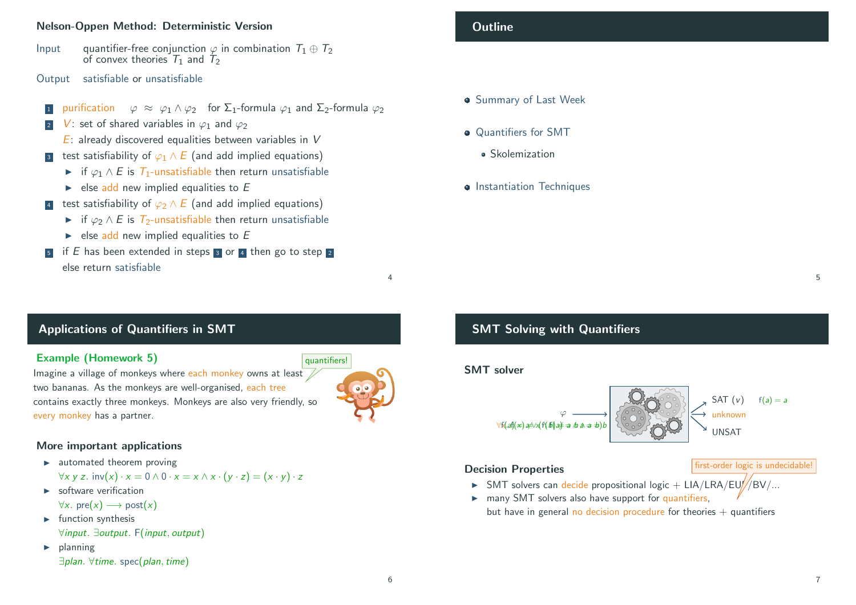#### Nelson-Oppen Method: Deterministic Version

- Input quantifier-free conjunction  $\varphi$  in combination  $T_1 \oplus T_2$ of convex theories  $T_1$  and  $T_2$
- Output satisfiable or unsatisfiable
- purification  $\varphi \approx \varphi_1 \wedge \varphi_2$  for  $\Sigma_1$ -formula  $\varphi_1$  and  $\Sigma_2$ -formula  $\varphi_2$
- V: set of shared variables in  $\varphi_1$  and  $\varphi_2$ 
	- $E$ : already discovered equalities between variables in V
- 3 test satisfiability of  $\varphi_1 \wedge E$  (and add implied equations)
	- $\triangleright$  if  $\varphi_1 \wedge E$  is  $\mathcal{T}_1$ -unsatisfiable then return unsatisfiable
	- $\blacktriangleright$  else add new implied equalities to E
- 4 test satisfiability of  $\varphi_2 \wedge E$  (and add implied equations)
	- $\triangleright$  if  $\varphi_2 \wedge E$  is  $\tau_2$ -unsatisfiable then return unsatisfiable
	- $\blacktriangleright$  else add new implied equalities to E
- if E has been extended in steps  $\overline{3}$  or  $\overline{4}$  then go to step  $\overline{2}$ else return satisfiable

# **Outline**

- **Summary of Last Week**
- Quantifiers for SMT
	- Skolemization
- **•** Instantiation Techniques

# <span id="page-1-0"></span>Applications of Quantifiers in SMT

#### Example (Homework 5)

Imagine a village of monkeys where each monkey owns at least two bananas. As the monkeys are well-organised, each tree contains exactly three monkeys. Monkeys are also very friendly, so [every monkey](#page-0-0) has a partner.

# quantifiers!

4

# [More important](#page-1-0) applications

 $\blacktriangleright$  [automated](#page-2-0) theorem proving

 $\forall x \vee z$ . inv(x) ·  $x = 0 \wedge 0 \cdot x = x \wedge x \cdot (y \cdot z) = (x \cdot y) \cdot z$ 

- $\blacktriangleright$  software verification  $\forall x. \text{pre}(x) \longrightarrow \text{post}(x)$
- $\blacktriangleright$  function synthesis ∀input. ∃output. F(input, output)
- $\blacktriangleright$  planning ∃plan. ∀time. spec(plan,time)

# SMT Solving with Quantifiers

# SMT solver



# Decision Properties

 $\triangleright$  SMT solvers can decide propositional logic + LIA/LRA/EUJ//BV/...

 $\triangleright$  many SMT solvers also have support for quantifiers, but have in general no decision procedure for theories  $+$  quantifiers

first-order logic is undecidable!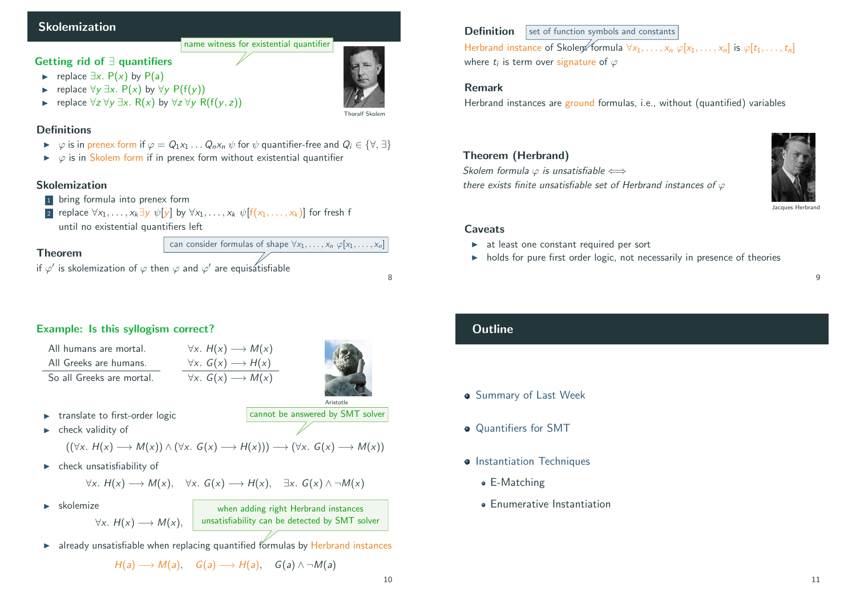## Skolemization

#### Getting rid of ∃ quantifiers

- replace  $\exists x. P(x)$  by P(a)
- replace  $\forall y \exists x$ . P(x) by  $\forall y$  P(f(y))
- replace  $\forall z \forall y \exists x$ . R(x) by  $\forall z \forall y$  R(f(y, z))

Thoralf Skolem

#### **Definitions**

 $\triangleright \varphi$  is in prenex form if  $\varphi = Q_1x_1 \dots Q_nx_n \psi$  for  $\psi$  quantifier-free and  $Q_i \in {\forall, \exists}$ 

name witness for existential quantifier

 $\triangleright \varphi$  is in Skolem form if in prenex form without existential quantifier

#### Skolemization

- 1 bring formula into prenex form
- 2 replace  $\forall x_1, \ldots, x_k \exists y \psi[y]$  by  $\forall x_1, \ldots, x_k \psi[f(x_1, \ldots, x_k)]$  for fresh f until no existential quantifiers left



# <span id="page-2-0"></span>Example: Is this syllogism correct?

All humans are mortal. All Greeks are humans. So all Greeks are mortal.



 $\blacktriangleright$  [translate to first-](#page-0-0)order logic

cannot be answered by SMT solver

when adding right Herbrand instances

Aristotle

 $\blacktriangleright$  check validity of

$$
((\forall x. H(x) \longrightarrow M(x)) \land (\forall x. G(x) \longrightarrow H(x))) \longrightarrow (\forall x. G(x) \longrightarrow M(x))
$$

 $\forall x. H(x) \longrightarrow M(x)$  $\forall x. G(x) \longrightarrow H(x)$  $\forall x. G(x) \longrightarrow M(x)$ 

 $\blacktriangleright$  [check unsatisfiabil](#page-2-0)ity of

$$
\forall x. H(x) \longrightarrow M(x), \quad \forall x. G(x) \longrightarrow H(x), \quad \exists x. G(x) \land \neg M(x)
$$

 $\blacktriangleright$  [skolemi](#page-3-0)ze

 $\forall \mathsf{x}.\; H(\mathsf{x}) \longrightarrow \mathsf{M}(\mathsf{x}), \;\;\; | \;\;$  unsatisfiability can be detected by <code>SMT</code> solver

 $\triangleright$  already unsatisfiable when replacing quantified formulas by Herbrand instances

$$
H(a) \longrightarrow M(a), \quad G(a) \longrightarrow H(a), \quad G(a) \land \neg M(a)
$$

# **Definition** set of function symbols and constants

Herbrand instance of Skolem formula  $\forall x_1, \ldots, x_n$   $\varphi[x_1, \ldots, x_n]$  is  $\varphi[t_1, \ldots, t_n]$ where  $t_i$  is term over signature of  $\varphi$ 

#### Remark

Herbrand instances are ground formulas, i.e., without (quantified) variables

#### Theorem (Herbrand)

Skolem formula  $\varphi$  is unsatisfiable  $\Longleftrightarrow$ there exists finite unsatisfiable set of Herbrand instances of  $\varphi$ 



#### Jacques Herbran

9

#### Caveats

- $\blacktriangleright$  at least one constant required per sort
- $\rightarrow$  holds for pure first order logic, not necessarily in presence of theories

# **Outline**

- **Summary of Last Week**
- **Quantifiers for SMT**
- **Instantiation Techniques** 
	- E-Matching
	- Enumerative Instantiation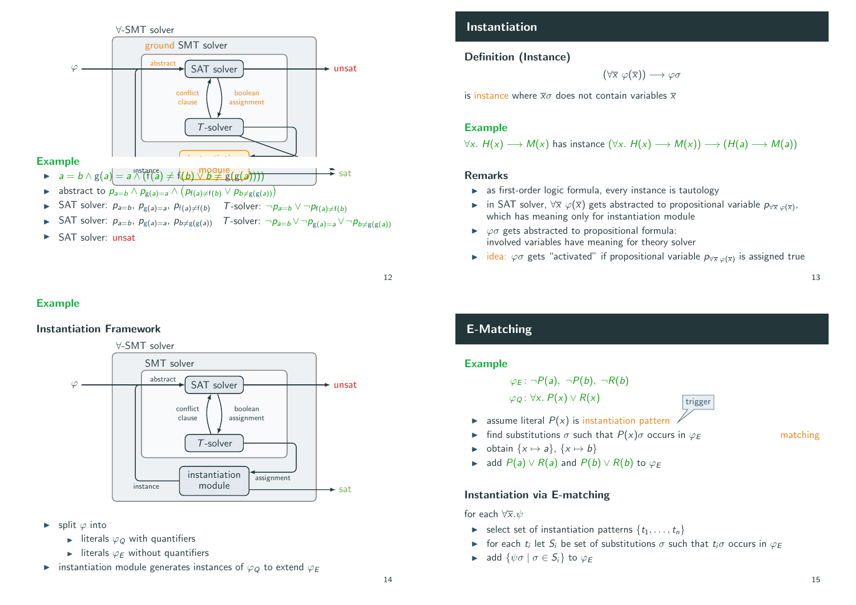

- **IF** SAT solver:  $p_{a=b}$ ,  $p_{g(a)=a}$ ,  $p_{f(a)\neq f(b)}$  T-solver:  $\neg p_{a=b} \lor \neg p_{f(a)\neq f(b)}$
- > SAT solver:  $p_{a=b}$ ,  $p_{g(a)=a}$ ,  $p_{b\neq g(g(a))}$  T-solver:  $\neg p_{a=b} \vee \neg p_{g(a)=a} \vee \neg p_{b\neq g(g(a))}$
- $\blacktriangleright$  SAT solver: unsat



## Example

# <span id="page-3-0"></span>Instantiation Framework

# $\forall$ -SMT solver



- ► split  $\varphi$  into
	- I literals  $\varphi$  with quantifiers
	- $\blacktriangleright$  literals  $\varphi_F$  without quantifiers
- instantiation module generates instances of  $\varphi_Q$  to extend  $\varphi_E$

# Instantiation

#### Definition (Instance)

 $(\forall \overline{x} \ \varphi(\overline{x})) \longrightarrow \varphi \sigma$ 

is instance where  $\overline{x}\sigma$  does not contain variables  $\overline{x}$ 

#### Example

 $\forall x. H(x) \longrightarrow M(x)$  has instance  $(\forall x. H(x) \longrightarrow M(x)) \longrightarrow (H(a) \longrightarrow M(a))$ 

#### Remarks

- $\triangleright$  as first-order logic formula, every instance is tautology
- $\blacktriangleright$  in SAT solver,  $\forall \overline{x} \; \varphi(\overline{x})$  gets abstracted to propositional variable  $p_{\forall \overline{x} \; \varphi(\overline{x})}.$ which has meaning only for instantiation module
- $\triangleright$   $\varphi \sigma$  gets abstracted to propositional formula: involved variables have meaning for theory solver
- $\blacktriangleright$  idea:  $\varphi\sigma$  gets "activated" if propositional variable  $p_{\forall\overline{x}\varphi(\overline{x})}$  is assigned true

trigger

# E-Matching

#### Example

$$
\varphi_E : \neg P(a), \neg P(b), \neg R(b)
$$
  

$$
\varphi_Q : \forall x. P(x) \lor R(x)
$$

- $\triangleright$  assume literal  $P(x)$  is instantiation pattern
- ightharpoonup find substitutions  $\sigma$  such that  $P(x)\sigma$  occurs in  $\varphi_F$  matching
- $\triangleright$  obtain  $\{x \mapsto a\}, \{x \mapsto b\}$
- $\triangleright$  add  $P(a) \vee R(a)$  and  $P(b) \vee R(b)$  to  $\varphi_F$

#### Instantiation via E-matching

#### for each  $\forall \overline{x}. \psi$

- $\blacktriangleright$  select set of instantiation patterns  $\{t_1, \ldots, t_n\}$
- **►** for each  $t_i$  let  $S_i$  be set of substitutions  $\sigma$  such that  $t_i\sigma$  occurs in  $\varphi$ <sub>E</sub>
- $\blacktriangleright$  add  $\{\psi\sigma \mid \sigma \in S_i\}$  to  $\varphi_E$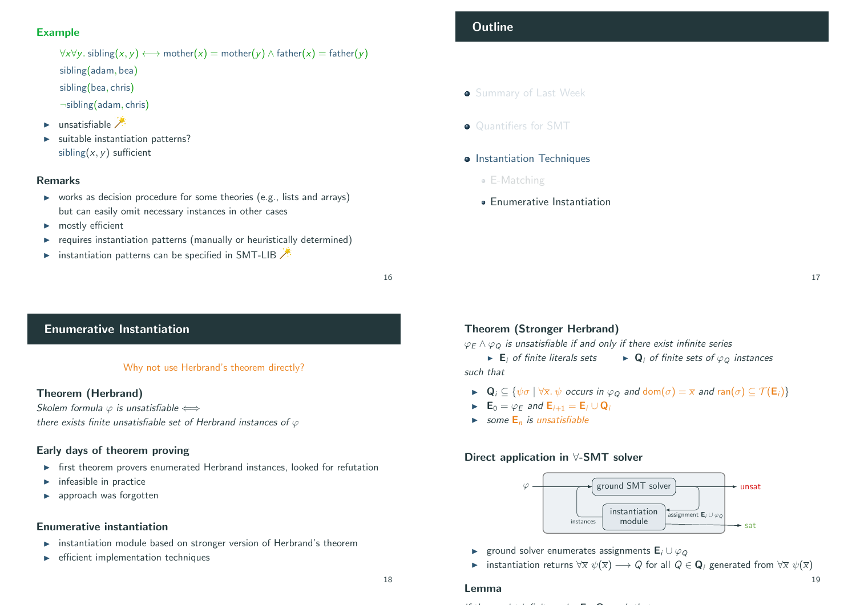#### Example

 $\forall x \forall y$ . sibling(x, y)  $\longleftrightarrow$  mother(x) = mother(y)  $\land$  father(x) = father(y) sibling(adam, bea)

- sibling(bea, chris)
- ¬sibling(adam, chris)
- unsatisfiable
- suitable instantiation patterns? sibling $(x, y)$  sufficient

#### Remarks

- $\triangleright$  works as decision procedure for some theories (e.g., lists and arrays) but can easily omit necessary instances in other cases
- $\blacktriangleright$  mostly efficient
- $\blacktriangleright$  requires instantiation patterns (manually or heuristically determined)
- **Instantiation patterns can be specified in SMT-LIB**

16

# <span id="page-4-0"></span>Enumerative Instantiation

#### Why not use Herbrand's theorem directly?

#### Theorem (Herbrand)

[Skolem formula](#page-0-0)  $\varphi$  is unsatisfiable  $\Longleftrightarrow$ there exists finite unsatisfiable set of Herbrand instances of  $\varphi$ 

#### [Early days](#page-1-0) [o](https://rise4fun.com/Z3/slTXa)[f th](#page-1-0)eorem proving

- $\triangleright$  [first theorem prov](#page-2-0)ers enumerated Herbrand instances, looked for refutation
- $\blacktriangleright$  infeasible in practice
- $\blacktriangleright$  [approac](#page-3-0)h was forgotten

#### Enumerative instantiation

- $\triangleright$  instantiation module based on stronger version of Herbrand's theorem
- $\blacktriangleright$  efficient implementation techniques

#### Theorem (Stronger Herbrand)

 $\varphi_F \wedge \varphi_O$  is unsatisfiable if and only if there exist infinite series

 $\triangleright$  E<sub>i</sub> of finite literals sets  $\triangleright$  Q<sub>i</sub> of finite sets of  $\varphi$ <sub>O</sub> instances such that

- $\triangleright$  Q<sub>i</sub>  $\subseteq$  { $\psi \sigma$  |  $\forall \overline{x}$ .  $\psi$  occurs in  $\varphi$ <sub>Q</sub> and dom $(\sigma) = \overline{x}$  and ran $(\sigma) \subseteq \mathcal{T}(E_i)$ }
- $\blacktriangleright$   $\mathbf{E}_0 = \varphi_F$  and  $\mathbf{E}_{i+1} = \mathbf{E}_i \cup \mathbf{Q}_i$
- Some  $E_n$  is unsatisfiable

if there exist infinite series E<sup>i</sup>

Lemma

#### Direct application in ∀-SMT solver



- **►** ground solver enumerates assignments  $\mathbf{E}_i \cup \varphi_{\Omega}$
- **Instantiation returns**  $\forall \overline{x} \psi(\overline{x}) \longrightarrow Q$  for all  $Q \in \mathbf{Q}_i$  generated from  $\forall \overline{x} \psi(\overline{x})$

# **Outline**

- **Summary of Last Week**
- **Quantifiers for SMT**
- **Instantiation Techniques** 
	- E-Matching
	- Enumerative Instantiation